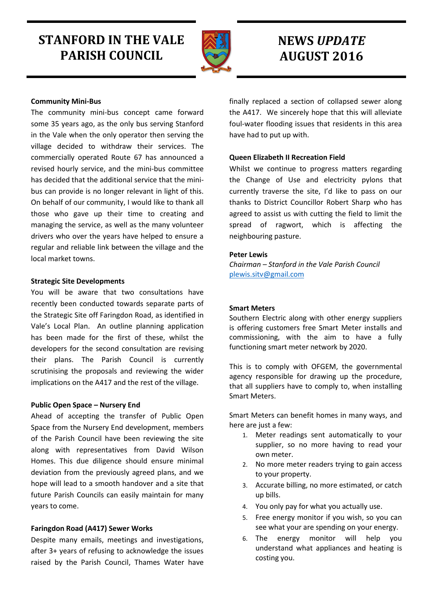# **STANFORD IN THE VALE PARISH COUNCIL**



## **NEWS** *UPDATE* **AUGUST 2016**

## **Community Mini-Bus**

The community mini-bus concept came forward some 35 years ago, as the only bus serving Stanford in the Vale when the only operator then serving the village decided to withdraw their services. The commercially operated Route 67 has announced a revised hourly service, and the mini-bus committee has decided that the additional service that the minibus can provide is no longer relevant in light of this. On behalf of our community, I would like to thank all those who gave up their time to creating and managing the service, as well as the many volunteer drivers who over the years have helped to ensure a regular and reliable link between the village and the local market towns.

#### **Strategic Site Developments**

You will be aware that two consultations have recently been conducted towards separate parts of the Strategic Site off Faringdon Road, as identified in Vale's Local Plan. An outline planning application has been made for the first of these, whilst the developers for the second consultation are revising their plans. The Parish Council is currently scrutinising the proposals and reviewing the wider implications on the A417 and the rest of the village.

## **Public Open Space – Nursery End**

Ahead of accepting the transfer of Public Open Space from the Nursery End development, members of the Parish Council have been reviewing the site along with representatives from David Wilson Homes. This due diligence should ensure minimal deviation from the previously agreed plans, and we hope will lead to a smooth handover and a site that future Parish Councils can easily maintain for many years to come.

## **Faringdon Road (A417) Sewer Works**

Despite many emails, meetings and investigations, after 3+ years of refusing to acknowledge the issues raised by the Parish Council, Thames Water have

finally replaced a section of collapsed sewer along the A417. We sincerely hope that this will alleviate foul-water flooding issues that residents in this area have had to put up with.

## **Queen Elizabeth II Recreation Field**

Whilst we continue to progress matters regarding the Change of Use and electricity pylons that currently traverse the site, I'd like to pass on our thanks to District Councillor Robert Sharp who has agreed to assist us with cutting the field to limit the spread of ragwort, which is affecting the neighbouring pasture.

## **Peter Lewis**

*Chairman – Stanford in the Vale Parish Council* [plewis.sitv@gmail.com](mailto:plewis.sitv@gmail.com)

## **Smart Meters**

Southern Electric along with other energy suppliers is offering customers free Smart Meter installs and commissioning, with the aim to have a fully functioning smart meter network by 2020.

This is to comply with OFGEM, the governmental agency responsible for drawing up the procedure, that all suppliers have to comply to, when installing Smart Meters.

Smart Meters can benefit homes in many ways, and here are just a few:

- 1. Meter readings sent automatically to your supplier, so no more having to read your own meter.
- 2. No more meter readers trying to gain access to your property.
- 3. Accurate billing, no more estimated, or catch up bills.
- 4. You only pay for what you actually use.
- 5. Free energy monitor if you wish, so you can see what your are spending on your energy.
- 6. The energy monitor will help you understand what appliances and heating is costing you.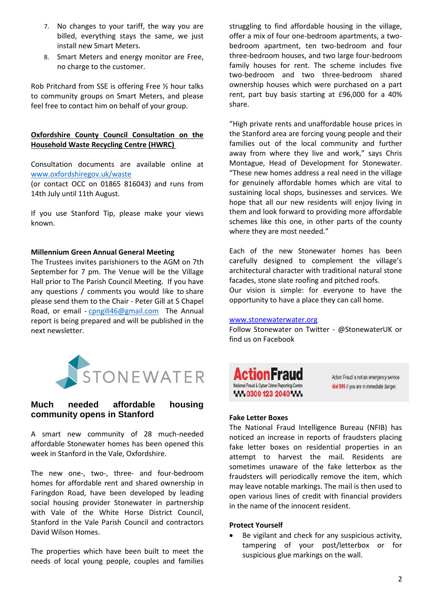- 7. No changes to your tariff, the way you are billed, everything stays the same, we just install new Smart Meters.
- 8. Smart Meters and energy monitor are Free, no charge to the customer.

Rob Pritchard from SSE is offering Free ½ hour talks to community groups on Smart Meters, and please feel free to contact him on behalf of your group.

## **Oxfordshire County Council Consultation on the Household Waste Recycling Centre (HWRC)**

Consultation documents are available online at [www.oxfordshiregov.uk/waste](http://www.oxfordshiregov.uk/waste)

(or contact OCC on 01865 816043) and runs from 14th July until 11th August.

If you use Stanford Tip, please make your views known.

#### **Millennium Green Annual General Meeting**

The Trustees invites parishioners to the AGM on 7th September for 7 pm. The Venue will be the Village Hall prior to The Parish Council Meeting. If you have any questions / comments you would like to share please send them to the Chair - Peter Gill at 5 Chapel Road, or email - [cpngill46@gmail.com](mailto:cpngill46@gmail.com) The Annual report is being prepared and will be published in the next newsletter.



## **Much needed affordable housing community opens in Stanford**

A smart new community of 28 much-needed affordable Stonewater homes has been opened this week in Stanford in the Vale, Oxfordshire.

The new one-, two-, three- and four-bedroom homes for affordable rent and shared ownership in Faringdon Road, have been developed by leading social housing provider Stonewater in partnership with Vale of the White Horse District Council, Stanford in the Vale Parish Council and contractors David Wilson Homes.

The properties which have been built to meet the needs of local young people, couples and families struggling to find affordable housing in the village, offer a mix of four one-bedroom apartments, a twobedroom apartment, ten two-bedroom and four three-bedroom houses, and two large four-bedroom family houses for rent. The scheme includes five two-bedroom and two three-bedroom shared ownership houses which were purchased on a part rent, part buy basis starting at £96,000 for a 40% share.

"High private rents and unaffordable house prices in the Stanford area are forcing young people and their families out of the local community and further away from where they live and work," says Chris Montague, Head of Development for Stonewater. "These new homes address a real need in the village for genuinely affordable homes which are vital to sustaining local shops, businesses and services. We hope that all our new residents will enjoy living in them and look forward to providing more affordable schemes like this one, in other parts of the county where they are most needed."

Each of the new Stonewater homes has been carefully designed to complement the village's architectural character with traditional natural stone facades, stone slate roofing and pitched roofs. Our vision is simple: for everyone to have the opportunity to have a place they can call home.

#### [www.stonewaterwater.org](http://www.stonewaterwater.org/)

Follow Stonewater on Twitter - @StonewaterUK or find us on Facebook



Action Fraud is not an emergency service dial 999 if you are in immediate danger.

## **Fake Letter Boxes**

The National Fraud Intelligence Bureau (NFIB) has noticed an increase in reports of fraudsters placing fake letter boxes on residential properties in an attempt to harvest the mail. Residents are sometimes unaware of the fake letterbox as the fraudsters will periodically remove the item, which may leave notable markings. The mail is then used to open various lines of credit with financial providers in the name of the innocent resident.

#### **Protect Yourself**

 Be vigilant and check for any suspicious activity, tampering of your post/letterbox or for suspicious glue markings on the wall.